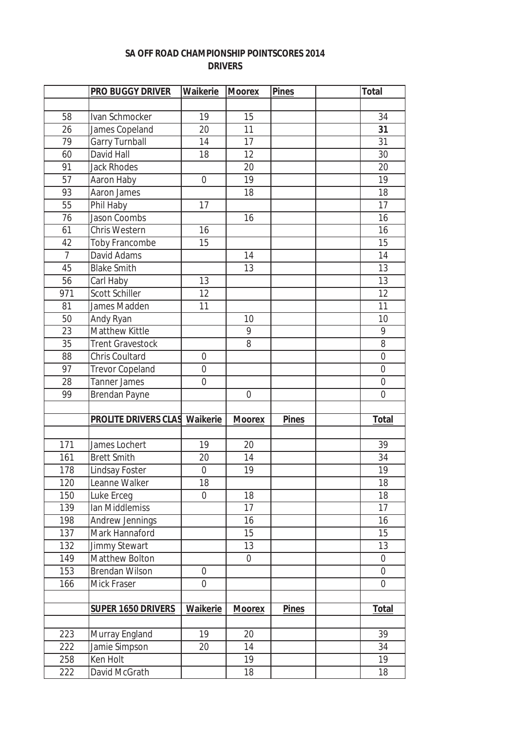## **SA OFF ROAD CHAMPIONSHIP POINTSCORES 2014 DRIVERS**

|                | <b>PRO BUGGY DRIVER</b>     | Waikerie       | <b>Moorex</b> | <b>Pines</b> | <b>Total</b>   |
|----------------|-----------------------------|----------------|---------------|--------------|----------------|
|                |                             |                |               |              |                |
| 58             | Ivan Schmocker              | 19             | 15            |              | 34             |
| 26             | James Copeland              | 20             | 11            |              | 31             |
| 79             | <b>Garry Turnball</b>       | 14             | 17            |              | 31             |
| 60             | David Hall                  | 18             | 12            |              | 30             |
| 91             | <b>Jack Rhodes</b>          |                | 20            |              | 20             |
| 57             | Aaron Haby                  | $\overline{0}$ | 19            |              | 19             |
| 93             | Aaron James                 |                | 18            |              | 18             |
| 55             | Phil Haby                   | 17             |               |              | 17             |
| 76             | <b>Jason Coombs</b>         |                | 16            |              | 16             |
| 61             | Chris Western               | 16             |               |              | 16             |
| 42             | Toby Francombe              | 15             |               |              | 15             |
| $\overline{7}$ | David Adams                 |                | 14            |              | 14             |
| 45             | <b>Blake Smith</b>          |                | 13            |              | 13             |
| 56             | Carl Haby                   | 13             |               |              | 13             |
| 971            | <b>Scott Schiller</b>       | 12             |               |              | 12             |
| 81             | James Madden                | 11             |               |              | 11             |
| 50             | Andy Ryan                   |                | 10            |              | 10             |
| 23             | Matthew Kittle              |                | 9             |              | 9              |
| 35             | <b>Trent Gravestock</b>     |                | 8             |              | 8              |
| 88             | <b>Chris Coultard</b>       | $\overline{0}$ |               |              | $\overline{0}$ |
| 97             | <b>Trevor Copeland</b>      | 0              |               |              | $\mathbf 0$    |
| 28             | <b>Tanner James</b>         | $\overline{0}$ |               |              | $\mathbf 0$    |
| 99             | Brendan Payne               |                | $\mathbf 0$   |              | $\overline{0}$ |
|                |                             |                |               |              |                |
|                | <b>PROLITE DRIVERS CLAS</b> | Waikerie       | <b>Moorex</b> | <b>Pines</b> | <b>Total</b>   |
|                |                             |                |               |              |                |
| 171            | James Lochert               | 19             | 20            |              | 39             |
| 161            | <b>Brett Smith</b>          | 20             | 14            |              | 34             |
| 178            | Lindsay Foster              | $\overline{0}$ | 19            |              | 19             |
| 120            | Leanne Walker               | 18             |               |              | 18             |
| 150            | Luke Erceg                  | 0              | 18            |              | 18             |
| 139            | Ian Middlemiss              |                | 17            |              | 17             |
| 198            | Andrew Jennings             |                | 16            |              | 16             |
| 137            | Mark Hannaford              |                | 15            |              | 15             |
| 132            | Jimmy Stewart               |                | 13            |              | 13             |
| 149            | Matthew Bolton              |                | $\mathbf 0$   |              | $\mathbf 0$    |
| 153            | <b>Brendan Wilson</b>       | $\mathbf 0$    |               |              | $\mathbf 0$    |
| 166            | Mick Fraser                 | 0              |               |              | $\mathbf 0$    |
|                |                             |                |               |              |                |
|                | <b>SUPER 1650 DRIVERS</b>   | Waikerie       | <b>Moorex</b> | <b>Pines</b> | <b>Total</b>   |
|                |                             |                |               |              |                |
| 223            | Murray England              | 19             | 20            |              | 39             |
| 222            | Jamie Simpson               | 20             | 14            |              | 34             |
| 258            | Ken Holt                    |                | 19            |              | 19             |
| 222            | David McGrath               |                | 18            |              | 18             |